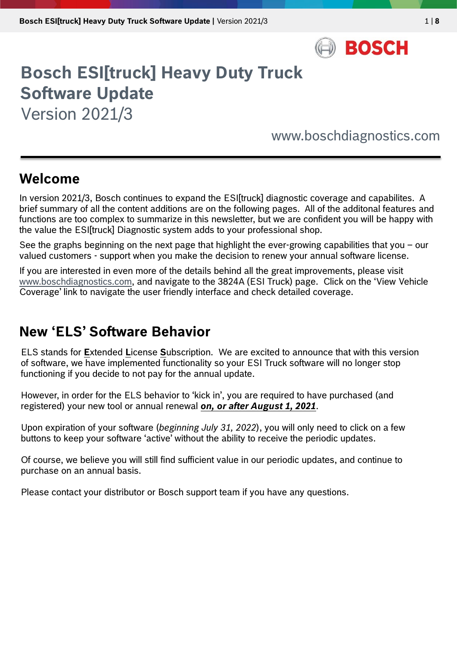

# **Bosch ESI[truck] Heavy Duty Truck Software Update**

Version 2021/3

www.boschdiagnostics.com

### **Welcome**

In version 2021/3, Bosch continues to expand the ESI[truck] diagnostic coverage and capabilites. A brief summary of all the content additions are on the following pages. All of the additonal features and functions are too complex to summarize in this newsletter, but we are confident you will be happy with the value the ESI[truck] Diagnostic system adds to your professional shop.

See the graphs beginning on the next page that highlight the ever-growing capabilities that you – our valued customers - support when you make the decision to renew your annual software license.

If you are interested in even more of the details behind all the great improvements, please visit [www.boschdiagnostics.com,](http://www.boschdiagnostics.com/pro) and navigate to the 3824A (ESI Truck) page. Click on the 'View Vehicle Coverage' link to navigate the user friendly interface and check detailed coverage.

### **New 'ELS' Software Behavior**

ELS stands for **E**xtended **L**icense **S**ubscription. We are excited to announce that with this version of software, we have implemented functionality so your ESI Truck software will no longer stop functioning if you decide to not pay for the annual update.

However, in order for the ELS behavior to 'kick in', you are required to have purchased (and registered) your new tool or annual renewal *on, or after August 1, 2021*.

Upon expiration of your software (*beginning July 31, 2022*), you will only need to click on a few buttons to keep your software 'active' without the ability to receive the periodic updates.

Of course, we believe you will still find sufficient value in our periodic updates, and continue to purchase on an annual basis.

Please contact your distributor or Bosch support team if you have any questions.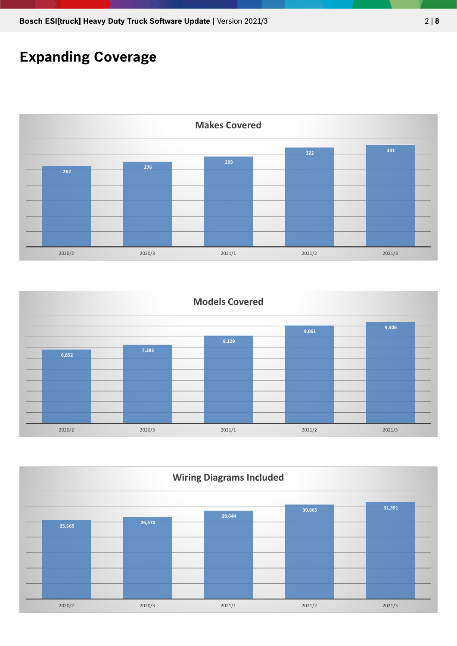### **Expanding Coverage**





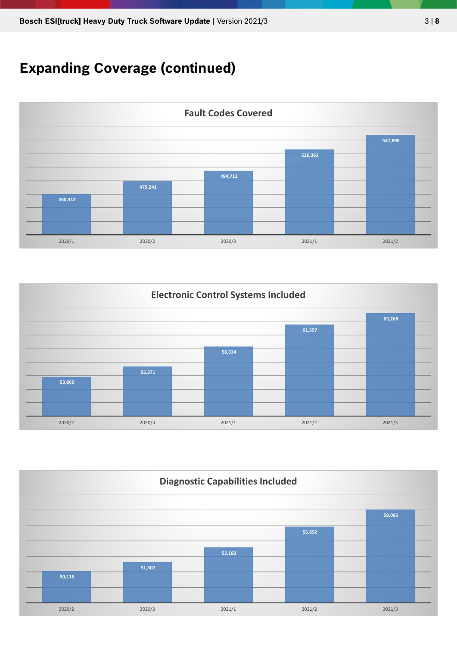## **Expanding Coverage (continued)**





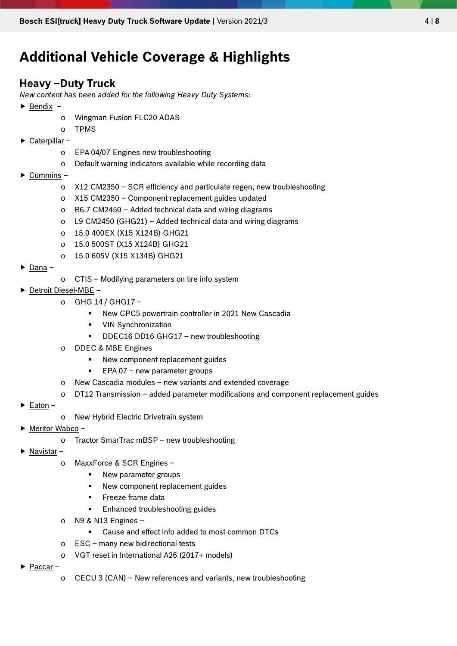### **Additional Vehicle Coverage & Highlights**

#### **Heavy –Duty Truck**

*New content has been added for the following Heavy Duty Systems:*

- $\blacktriangleright$  Bendix
	- o Wingman Fusion FLC20 ADAS
	- o TPMS
- $\triangleright$  Caterpillar
	- o EPA 04/07 Engines new troubleshooting
	- o Default warning indicators available while recording data
- $\triangleright$  Cummins
	- o X12 CM2350 SCR efficiency and particulate regen, new troubleshooting
	- o X15 CM2350 Component replacement guides updated
	- o B6.7 CM2450 Added technical data and wiring diagrams
	- o L9 CM2450 (GHG21) Added technical data and wiring diagrams
	- o 15.0 400EX (X15 X124B) GHG21
	- o 15.0 500ST (X15 X124B) GHG21
	- o 15.0 605V (X15 X134B) GHG21
- $\triangleright$  Dana –
- o CTIS Modifying parameters on tire info system
- ▶ Detroit Diesel-MBE -
	- $\circ$  GHG 14 / GHG17
		- New CPC5 powertrain controller in 2021 New Cascadia
		- **•** VIN Synchronization
		- **•** DDEC16 DD16 GHG17 new troubleshooting
	- DDEC & MBE Engines
		- New component replacement guides
		- **EPA 07 new parameter groups**
	- New Cascadia modules new variants and extended coverage
	- o DT12 Transmission added parameter modifications and component replacement guides
- $\blacktriangleright$  Eaton –
- o New Hybrid Electric Drivetrain system
- Meritor Wabco
	- o Tractor SmarTrac mBSP new troubleshooting
- $\blacktriangleright$  Navistar
	- o MaxxForce & SCR Engines
		- New parameter groups
		- New component replacement guides
		- Freeze frame data
		- **Enhanced troubleshooting guides**
	- o N9 & N13 Engines
		- Cause and effect info added to most common DTCs
	- o ESC many new bidirectional tests
	- o VGT reset in International A26 (2017+ models)
- ▶ Paccar
	- o CECU 3 (CAN) New references and variants, new troubleshooting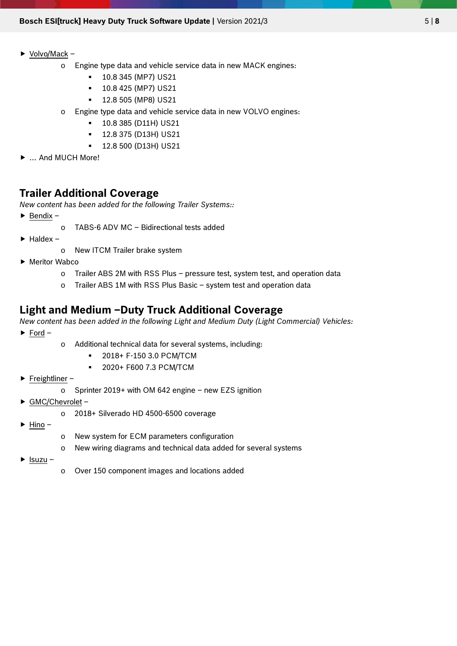#### $\triangleright$  <u>Volvo/Mack</u> –

- o Engine type data and vehicle service data in new MACK engines:
	- 10.8 345 (MP7) US21
	- **10.8 425 (MP7) US21**
	- 12.8 505 (MP8) US21
- o Engine type data and vehicle service data in new VOLVO engines:
	- 10.8 385 (D11H) US21
	- 12.8 375 (D13H) US21
	- 12.8 500 (D13H) US21
- ▶ ... And MUCH More!

#### **Trailer Additional Coverage**

*New content has been added for the following Trailer Systems::*

- $\blacktriangleright$  Bendix
	- o TABS-6 ADV MC Bidirectional tests added
- $\blacktriangleright$  Haldex
	- o New ITCM Trailer brake system
- ▶ Meritor Wabco
	- o Trailer ABS 2M with RSS Plus pressure test, system test, and operation data
	- o Trailer ABS 1M with RSS Plus Basic system test and operation data

#### **Light and Medium –Duty Truck Additional Coverage**

*New content has been added in the following Light and Medium Duty (Light Commercial) Vehicles:*  $\triangleright$  Ford –

- o Additional technical data for several systems, including:
	- 2018+ F-150 3.0 PCM/TCM
	- 2020+ F600 7.3 PCM/TCM
- $\blacktriangleright$  Freightliner
	- o Sprinter 2019+ with OM 642 engine new EZS ignition
- ▶ GMC/Chevrolet
	- o 2018+ Silverado HD 4500-6500 coverage
- $\blacktriangleright$  Hino –
- o New system for ECM parameters configuration
- o New wiring diagrams and technical data added for several systems
- $\blacktriangleright$  Isuzu –
- o Over 150 component images and locations added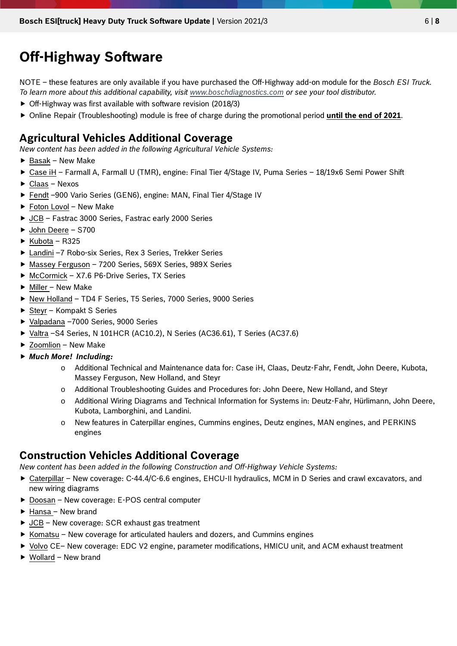### **Off-Highway Software**

NOTE – these features are only available if you have purchased the Off-Highway add-on module for the *Bosch ESI Truck. To learn more about this additional capability, visit [www.boschdiagnostics.com](http://www.boschdiagnostics.com/) or see your tool distributor.*

- Off-Highway was first available with software revision (2018/3)
- Online Repair (Troubleshooting) module is free of charge during the promotional period **until the end of 2021**.

#### **Agricultural Vehicles Additional Coverage**

*New content has been added in the following Agricultural Vehicle Systems:*

- $\blacktriangleright$  Basak New Make
- ► Case iH Farmall A, Farmall U (TMR), engine: Final Tier 4/Stage IV, Puma Series 18/19x6 Semi Power Shift
- ► Claas Nexos
- ▶ Fendt -900 Vario Series (GEN6), engine: MAN, Final Tier 4/Stage IV
- ▶ Foton Lovol New Make
- ▶ JCB Fastrac 3000 Series, Fastrac early 2000 Series
- ▶ John Deere S700
- $\blacktriangleright$  Kubota R325
- ▶ Landini -7 Robo-six Series, Rex 3 Series, Trekker Series
- ▶ Massey Ferguson 7200 Series, 569X Series, 989X Series
- ▶ McCormick X7.6 P6-Drive Series, TX Series
- $\blacktriangleright$  Miller New Make
- ▶ New Holland TD4 F Series, T5 Series, 7000 Series, 9000 Series
- $\triangleright$  Steyr Kompakt S Series
- ▶ Valpadana -7000 Series, 9000 Series
- Valtra –S4 Series, N 101HCR (AC10.2), N Series (AC36.61), T Series (AC37.6)
- ▶ Zoomlion New Make
- *Much More! Including:*
	- o Additional Technical and Maintenance data for: Case iH, Claas, Deutz-Fahr, Fendt, John Deere, Kubota, Massey Ferguson, New Holland, and Steyr
	- o Additional Troubleshooting Guides and Procedures for: John Deere, New Holland, and Steyr
	- o Additional Wiring Diagrams and Technical Information for Systems in: Deutz-Fahr, Hürlimann, John Deere, Kubota, Lamborghini, and Landini.
	- o New features in Caterpillar engines, Cummins engines, Deutz engines, MAN engines, and PERKINS engines

#### **Construction Vehicles Additional Coverage**

*New content has been added in the following Construction and Off-Highway Vehicle Systems:*

- Caterpillar New coverage: C-44.4/C-6.6 engines, EHCU-II hydraulics, MCM in D Series and crawl excavators, and new wiring diagrams
- ▶ Doosan New coverage: E-POS central computer
- $\blacktriangleright$  Hansa New brand
- ▶ JCB New coverage: SCR exhaust gas treatment
- $\triangleright$  Komatsu New coverage for articulated haulers and dozers, and Cummins engines
- ▶ Volvo CE– New coverage: EDC V2 engine, parameter modifications, HMICU unit, and ACM exhaust treatment
- Wollard New brand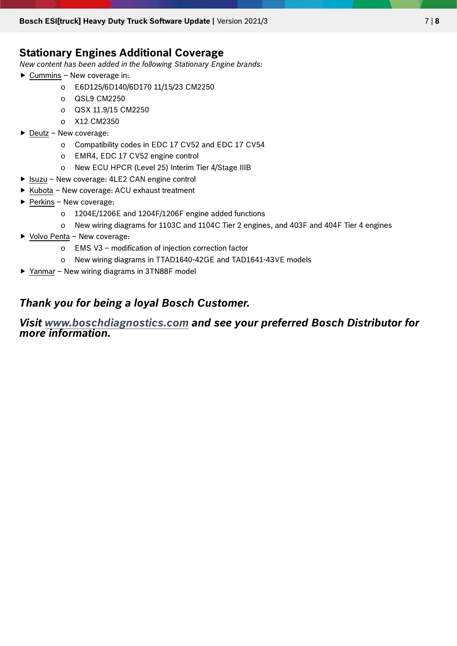#### **Stationary Engines Additional Coverage**

*New content has been added in the following Stationary Engine brands:*

- $\triangleright$  Cummins New coverage in:
	- o E6D125/6D140/6D170 11/15/23 CM2250
	- o QSL9 CM2250
	- o QSX 11.9/15 CM2250
	- o X12 CM2350
- $\triangleright$  Deutz New coverage:
	- o Compatibility codes in EDC 17 CV52 and EDC 17 CV54
	- o EMR4, EDC 17 CV52 engine control
	- o New ECU HPCR (Level 25) Interim Tier 4/Stage IIIB
- ▶ Isuzu New coverage: 4LE2 CAN engine control
- $\triangleright$  Kubota New coverage: ACU exhaust treatment
- $\blacktriangleright$  Perkins New coverage:
	- o 1204E/1206E and 1204F/1206F engine added functions
		- o New wiring diagrams for 1103C and 1104C Tier 2 engines, and 403F and 404F Tier 4 engines
- $\triangleright$  Volvo Penta New coverage:
	- o EMS V3 modification of injection correction factor
	- o New wiring diagrams in TTAD1640-42GE and TAD1641-43VE models
- ▶ Yanmar New wiring diagrams in 3TN88F model

### *Thank you for being a loyal Bosch Customer.*

#### *Visit [www.boschdiagnostics.com](http://www.boschdiagnostics.com/) and see your preferred Bosch Distributor for more information.*